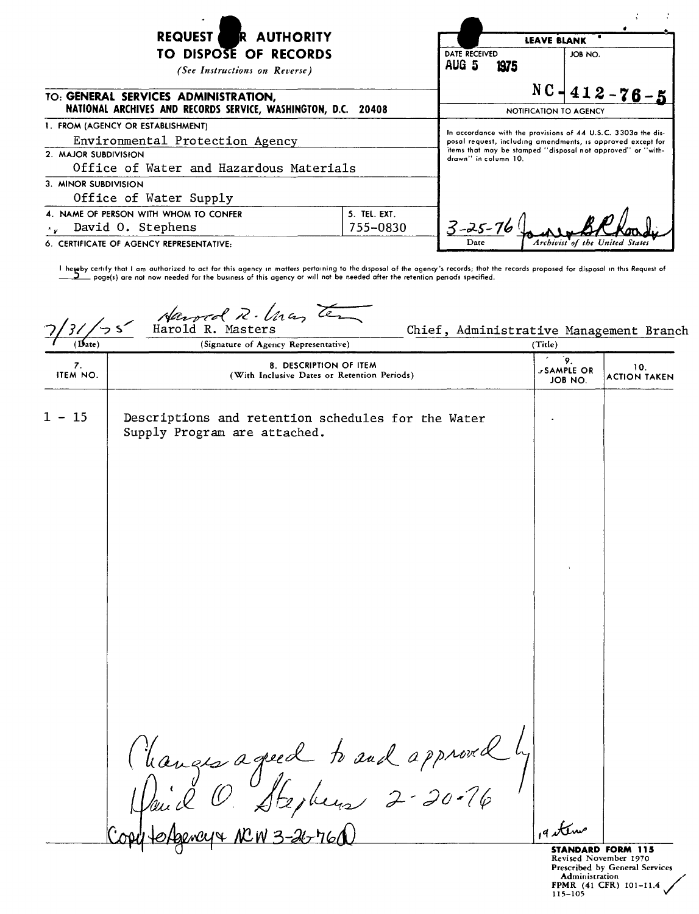| <b>REQUEST</b><br><b>R AUTHORITY</b>                                                                                                    |                          | <b>LEAVE BLANK</b>                                                                                                                                                                                                  |                                |
|-----------------------------------------------------------------------------------------------------------------------------------------|--------------------------|---------------------------------------------------------------------------------------------------------------------------------------------------------------------------------------------------------------------|--------------------------------|
| TO DISPOSE OF RECORDS<br>(See Instructions on Reverse)                                                                                  |                          | DATE RECEIVED<br>AUG 5<br>1975                                                                                                                                                                                      | JOB NO.                        |
| TO: GENERAL SERVICES ADMINISTRATION,<br>NATIONAL ARCHIVES AND RECORDS SERVICE, WASHINGTON, D.C. 20408                                   |                          | NOTIFICATION TO AGENCY                                                                                                                                                                                              | $NC - 412 - 76 - 5$            |
| 1. FROM (AGENCY OR ESTABLISHMENT)<br>Environmental Protection Agency<br>2. MAJOR SUBDIVISION<br>Office of Water and Hazardous Materials |                          | In accordance with the provisions of 44 U.S.C. 3303a the dis-<br>posal request, including amendments, is approved except for<br>items that may be stamped "disposal not approved" or "with-<br>drawn" in column 10. |                                |
| 3. MINOR SUBDIVISION<br>Office of Water Supply                                                                                          |                          |                                                                                                                                                                                                                     |                                |
| 4. NAME OF PERSON WITH WHOM TO CONFER<br>David O. Stephens                                                                              | 5. TEL. EXT.<br>755-0830 | $3 - 25 - 76$                                                                                                                                                                                                       |                                |
| 6. CERTIFICATE OF AGENCY REPRESENTATIVE:                                                                                                |                          | l )ate                                                                                                                                                                                                              | Archivist of the United States |

I hereby certify that I am authorized to act for this agency in matters pertaining to the disposal of the agency's records; that the records proposed for disposal in this Request of  $\_$  poge(s) are not now needed for the business of this agency or will not be needed after the retention periods specified.

Harved R. *lna, Te*  $\sim$  s  $\sim$ Chief, Administrative Management Branch  $\overline{(\mathbf{B}_{\mathbf{ate}})}$ (Signature of Agency Representative) (Title) 9. 8. DESCRIPTION OF ITEM 10.<br>19. ITEM NO. (With Inclusive Dates or Retention Periods) ACTION TAKEN JOB NO. ACTION TAKEN  $1 - 15$  Descriptions and retention schedules for the Water Supply Program are attached. Changes agréed to and approved by g eterns **STANDARD FORM 115**

Revised November 1970 Prescribed by General Services<br>Administration **Administration /'** FPMR (41 CFR) 101-11.4 115-105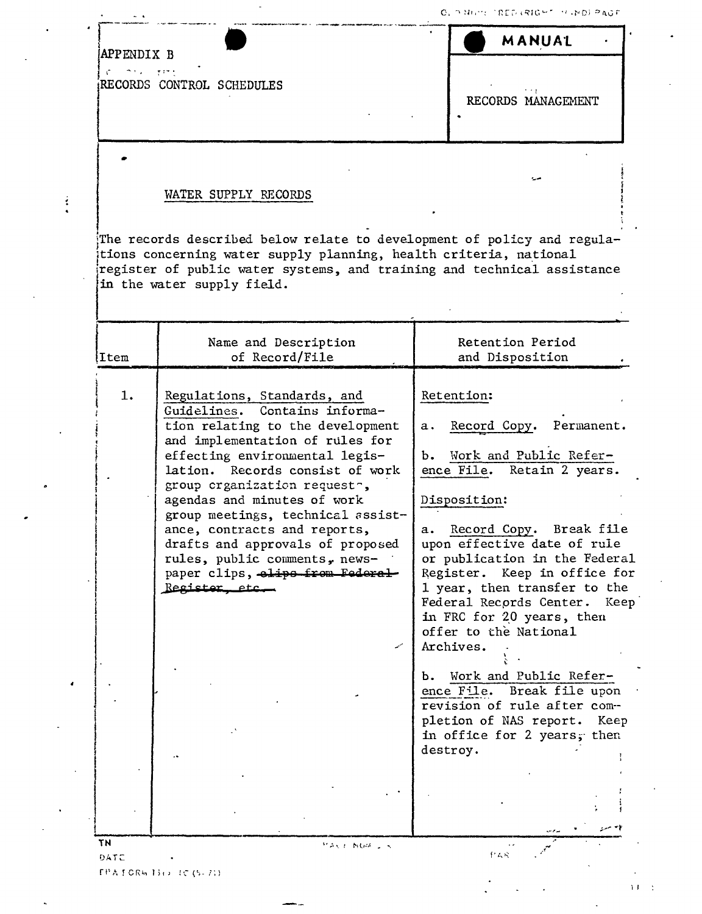MANUAL

| APPENDIX B |  |
|------------|--|
|            |  |

Ä

 $\frac{1}{2}$ 

RECORDS CONTROL SCHEDULES

RECORDS MANAGEMENT

 $1.3\pm1.1$ 

## WATER SUPPLY RECORDS

The records described below relate to development of policy and regulations concerning water supply planning, health criteria, national register of public water systems, and training and technical assistance in the water supply field.

| 1.<br>Retention:<br>Regulations, Standards, and<br>Guidelines. Contains informa-<br>tion relating to the development<br>Record Copy. Permanent.<br>а.<br>and implementation of rules for<br>b. Work and Public Refer-<br>effecting environmental legis-<br>lation. Records consist of work<br>ence File. Retain 2 years.<br>group crganization requesto,<br>agendas and minutes of work<br>Disposition:<br>group meetings, technical assist-<br>ance, contracts and reports,<br>upon effective date of rule<br>drafts and approvals of proposed<br>rules, public comments, news-<br>paper clips, elips from Federal<br>Register, etc.<br>in FRC for 20 years, then<br>offer to the National<br>Archives.<br>b. Work and Public Refer-<br>ence File. Break file upon<br>revision of rule after com--<br>in office for 2 years; then<br>destroy. | Item | Name and Description<br>of Record/File | Retention Period<br>and Disposition                                                                                                                                                        |
|------------------------------------------------------------------------------------------------------------------------------------------------------------------------------------------------------------------------------------------------------------------------------------------------------------------------------------------------------------------------------------------------------------------------------------------------------------------------------------------------------------------------------------------------------------------------------------------------------------------------------------------------------------------------------------------------------------------------------------------------------------------------------------------------------------------------------------------------|------|----------------------------------------|--------------------------------------------------------------------------------------------------------------------------------------------------------------------------------------------|
|                                                                                                                                                                                                                                                                                                                                                                                                                                                                                                                                                                                                                                                                                                                                                                                                                                                |      |                                        | a. Record Copy. Break file<br>or publication in the Federal<br>Register. Keep in office for<br>1 year, then transfer to the<br>Federal Records Center. Keep<br>pletion of NAS report. Keep |

 $FPAICRMIBOIC(S-23)$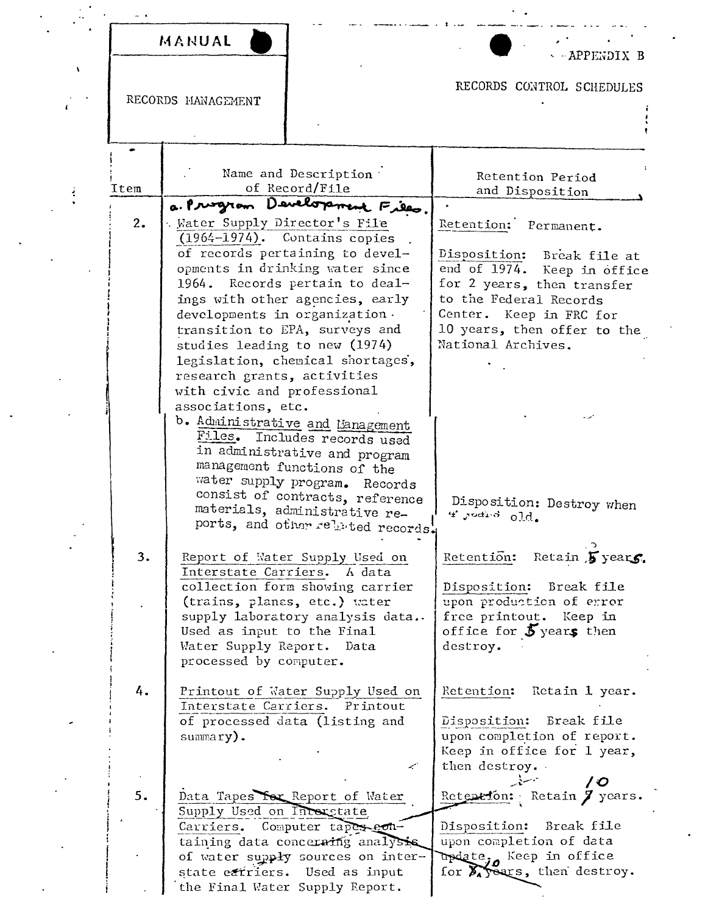MANUAL

APPENDIX B

RECORDS MANAGEMENT

 $\lambda$ 

 $\pmb{\iota}$ 

 $\frac{1}{2}$ 

## RECORDS CONTROL SCHEDULES  $\ddot{\phantom{a}}$

 $\sim$   $\sim$ 

| Name and Description<br>Retention Period<br>of Record/File<br>Item<br>and Disposition<br>a. Prizzion Development Files.<br>2.<br>Water Supply Director's File<br>Retention: Permanent.<br>$(1964-1974)$ . Contains copies<br>of records pertaining to devel-<br>Disposition:<br>Break file at<br>opments in drinking water since<br>end of 1974.<br>Keep in office<br>1964. Records pertain to deal-<br>for 2 years, then transfer<br>ings with other agencies, early<br>to the Federal Records<br>developments in organization.<br>Center. Keep in FRC for<br>transition to EPA, surveys and<br>10 years, then offer to the<br>National Archives.<br>studies leading to new (1974)<br>legislation, chemical shortages,<br>research grants, activities<br>with civic and professional<br>associations, etc.<br>b. Administrative and Management<br>Files.<br>Includes records used<br>in administrative and program<br>management functions of the<br>water supply program.<br>Records<br>consist of contracts, reference<br>Disposition: Destroy when<br>materials, administrative re-<br>$4.$ Judi 3 $0.\dot{d}$ .<br>ports, and other related records.<br>Retain 5 years.<br>3.<br>Retention:<br>Report of Water Supply Used on<br>Interstate Carriers. A data<br>collection form showing carrier<br>Disposition: Break file<br>upon production of error<br>(trains, planes, etc.) water<br>supply laboratory analysis data<br>free printout. Keep in<br>office for $5$ years then<br>Used as input to the Final<br>Water Supply Report. Data<br>destroy.<br>processed by computer.<br>4.<br>Printout of Water Supply Used on<br>Retention:<br>Retain 1 year.<br>Interstate Carriers.<br>Printout<br>of processed data (listing and<br>Disposition:<br>Break file<br>upon completion of report.<br>summary).<br>Keep in office for 1 year,<br>then destroy.<br>فبمبير<br>70<br>5.<br>Data Tapes for Report of Water<br>Reteneton: Retain 7 years.<br>Supply Used on Interstate<br>Carriers. Computer tapes eon-<br>Disposition: Break file<br>upon completion of data<br>taining data concerning analysis<br>update <sub>jo</sub> Keep in office<br>of water supply sources on inter-<br>for <b>X</b> years, then destroy.<br>Used as input<br>state extriers.<br>the Final Water Supply Report. | LECOLDS FLANAGEMENT |  |
|-----------------------------------------------------------------------------------------------------------------------------------------------------------------------------------------------------------------------------------------------------------------------------------------------------------------------------------------------------------------------------------------------------------------------------------------------------------------------------------------------------------------------------------------------------------------------------------------------------------------------------------------------------------------------------------------------------------------------------------------------------------------------------------------------------------------------------------------------------------------------------------------------------------------------------------------------------------------------------------------------------------------------------------------------------------------------------------------------------------------------------------------------------------------------------------------------------------------------------------------------------------------------------------------------------------------------------------------------------------------------------------------------------------------------------------------------------------------------------------------------------------------------------------------------------------------------------------------------------------------------------------------------------------------------------------------------------------------------------------------------------------------------------------------------------------------------------------------------------------------------------------------------------------------------------------------------------------------------------------------------------------------------------------------------------------------------------------------------------------------------------------------------------------------------------------------------------------------------------------------------------------------------------------------------------|---------------------|--|
|                                                                                                                                                                                                                                                                                                                                                                                                                                                                                                                                                                                                                                                                                                                                                                                                                                                                                                                                                                                                                                                                                                                                                                                                                                                                                                                                                                                                                                                                                                                                                                                                                                                                                                                                                                                                                                                                                                                                                                                                                                                                                                                                                                                                                                                                                                     |                     |  |
|                                                                                                                                                                                                                                                                                                                                                                                                                                                                                                                                                                                                                                                                                                                                                                                                                                                                                                                                                                                                                                                                                                                                                                                                                                                                                                                                                                                                                                                                                                                                                                                                                                                                                                                                                                                                                                                                                                                                                                                                                                                                                                                                                                                                                                                                                                     |                     |  |
|                                                                                                                                                                                                                                                                                                                                                                                                                                                                                                                                                                                                                                                                                                                                                                                                                                                                                                                                                                                                                                                                                                                                                                                                                                                                                                                                                                                                                                                                                                                                                                                                                                                                                                                                                                                                                                                                                                                                                                                                                                                                                                                                                                                                                                                                                                     |                     |  |
|                                                                                                                                                                                                                                                                                                                                                                                                                                                                                                                                                                                                                                                                                                                                                                                                                                                                                                                                                                                                                                                                                                                                                                                                                                                                                                                                                                                                                                                                                                                                                                                                                                                                                                                                                                                                                                                                                                                                                                                                                                                                                                                                                                                                                                                                                                     |                     |  |
|                                                                                                                                                                                                                                                                                                                                                                                                                                                                                                                                                                                                                                                                                                                                                                                                                                                                                                                                                                                                                                                                                                                                                                                                                                                                                                                                                                                                                                                                                                                                                                                                                                                                                                                                                                                                                                                                                                                                                                                                                                                                                                                                                                                                                                                                                                     |                     |  |
|                                                                                                                                                                                                                                                                                                                                                                                                                                                                                                                                                                                                                                                                                                                                                                                                                                                                                                                                                                                                                                                                                                                                                                                                                                                                                                                                                                                                                                                                                                                                                                                                                                                                                                                                                                                                                                                                                                                                                                                                                                                                                                                                                                                                                                                                                                     |                     |  |
|                                                                                                                                                                                                                                                                                                                                                                                                                                                                                                                                                                                                                                                                                                                                                                                                                                                                                                                                                                                                                                                                                                                                                                                                                                                                                                                                                                                                                                                                                                                                                                                                                                                                                                                                                                                                                                                                                                                                                                                                                                                                                                                                                                                                                                                                                                     |                     |  |
|                                                                                                                                                                                                                                                                                                                                                                                                                                                                                                                                                                                                                                                                                                                                                                                                                                                                                                                                                                                                                                                                                                                                                                                                                                                                                                                                                                                                                                                                                                                                                                                                                                                                                                                                                                                                                                                                                                                                                                                                                                                                                                                                                                                                                                                                                                     |                     |  |
|                                                                                                                                                                                                                                                                                                                                                                                                                                                                                                                                                                                                                                                                                                                                                                                                                                                                                                                                                                                                                                                                                                                                                                                                                                                                                                                                                                                                                                                                                                                                                                                                                                                                                                                                                                                                                                                                                                                                                                                                                                                                                                                                                                                                                                                                                                     |                     |  |
|                                                                                                                                                                                                                                                                                                                                                                                                                                                                                                                                                                                                                                                                                                                                                                                                                                                                                                                                                                                                                                                                                                                                                                                                                                                                                                                                                                                                                                                                                                                                                                                                                                                                                                                                                                                                                                                                                                                                                                                                                                                                                                                                                                                                                                                                                                     |                     |  |
|                                                                                                                                                                                                                                                                                                                                                                                                                                                                                                                                                                                                                                                                                                                                                                                                                                                                                                                                                                                                                                                                                                                                                                                                                                                                                                                                                                                                                                                                                                                                                                                                                                                                                                                                                                                                                                                                                                                                                                                                                                                                                                                                                                                                                                                                                                     |                     |  |
|                                                                                                                                                                                                                                                                                                                                                                                                                                                                                                                                                                                                                                                                                                                                                                                                                                                                                                                                                                                                                                                                                                                                                                                                                                                                                                                                                                                                                                                                                                                                                                                                                                                                                                                                                                                                                                                                                                                                                                                                                                                                                                                                                                                                                                                                                                     |                     |  |
|                                                                                                                                                                                                                                                                                                                                                                                                                                                                                                                                                                                                                                                                                                                                                                                                                                                                                                                                                                                                                                                                                                                                                                                                                                                                                                                                                                                                                                                                                                                                                                                                                                                                                                                                                                                                                                                                                                                                                                                                                                                                                                                                                                                                                                                                                                     |                     |  |
|                                                                                                                                                                                                                                                                                                                                                                                                                                                                                                                                                                                                                                                                                                                                                                                                                                                                                                                                                                                                                                                                                                                                                                                                                                                                                                                                                                                                                                                                                                                                                                                                                                                                                                                                                                                                                                                                                                                                                                                                                                                                                                                                                                                                                                                                                                     |                     |  |
|                                                                                                                                                                                                                                                                                                                                                                                                                                                                                                                                                                                                                                                                                                                                                                                                                                                                                                                                                                                                                                                                                                                                                                                                                                                                                                                                                                                                                                                                                                                                                                                                                                                                                                                                                                                                                                                                                                                                                                                                                                                                                                                                                                                                                                                                                                     |                     |  |
|                                                                                                                                                                                                                                                                                                                                                                                                                                                                                                                                                                                                                                                                                                                                                                                                                                                                                                                                                                                                                                                                                                                                                                                                                                                                                                                                                                                                                                                                                                                                                                                                                                                                                                                                                                                                                                                                                                                                                                                                                                                                                                                                                                                                                                                                                                     |                     |  |
|                                                                                                                                                                                                                                                                                                                                                                                                                                                                                                                                                                                                                                                                                                                                                                                                                                                                                                                                                                                                                                                                                                                                                                                                                                                                                                                                                                                                                                                                                                                                                                                                                                                                                                                                                                                                                                                                                                                                                                                                                                                                                                                                                                                                                                                                                                     |                     |  |
|                                                                                                                                                                                                                                                                                                                                                                                                                                                                                                                                                                                                                                                                                                                                                                                                                                                                                                                                                                                                                                                                                                                                                                                                                                                                                                                                                                                                                                                                                                                                                                                                                                                                                                                                                                                                                                                                                                                                                                                                                                                                                                                                                                                                                                                                                                     |                     |  |
|                                                                                                                                                                                                                                                                                                                                                                                                                                                                                                                                                                                                                                                                                                                                                                                                                                                                                                                                                                                                                                                                                                                                                                                                                                                                                                                                                                                                                                                                                                                                                                                                                                                                                                                                                                                                                                                                                                                                                                                                                                                                                                                                                                                                                                                                                                     |                     |  |
|                                                                                                                                                                                                                                                                                                                                                                                                                                                                                                                                                                                                                                                                                                                                                                                                                                                                                                                                                                                                                                                                                                                                                                                                                                                                                                                                                                                                                                                                                                                                                                                                                                                                                                                                                                                                                                                                                                                                                                                                                                                                                                                                                                                                                                                                                                     |                     |  |
|                                                                                                                                                                                                                                                                                                                                                                                                                                                                                                                                                                                                                                                                                                                                                                                                                                                                                                                                                                                                                                                                                                                                                                                                                                                                                                                                                                                                                                                                                                                                                                                                                                                                                                                                                                                                                                                                                                                                                                                                                                                                                                                                                                                                                                                                                                     |                     |  |
|                                                                                                                                                                                                                                                                                                                                                                                                                                                                                                                                                                                                                                                                                                                                                                                                                                                                                                                                                                                                                                                                                                                                                                                                                                                                                                                                                                                                                                                                                                                                                                                                                                                                                                                                                                                                                                                                                                                                                                                                                                                                                                                                                                                                                                                                                                     |                     |  |
|                                                                                                                                                                                                                                                                                                                                                                                                                                                                                                                                                                                                                                                                                                                                                                                                                                                                                                                                                                                                                                                                                                                                                                                                                                                                                                                                                                                                                                                                                                                                                                                                                                                                                                                                                                                                                                                                                                                                                                                                                                                                                                                                                                                                                                                                                                     |                     |  |
|                                                                                                                                                                                                                                                                                                                                                                                                                                                                                                                                                                                                                                                                                                                                                                                                                                                                                                                                                                                                                                                                                                                                                                                                                                                                                                                                                                                                                                                                                                                                                                                                                                                                                                                                                                                                                                                                                                                                                                                                                                                                                                                                                                                                                                                                                                     |                     |  |
|                                                                                                                                                                                                                                                                                                                                                                                                                                                                                                                                                                                                                                                                                                                                                                                                                                                                                                                                                                                                                                                                                                                                                                                                                                                                                                                                                                                                                                                                                                                                                                                                                                                                                                                                                                                                                                                                                                                                                                                                                                                                                                                                                                                                                                                                                                     |                     |  |
|                                                                                                                                                                                                                                                                                                                                                                                                                                                                                                                                                                                                                                                                                                                                                                                                                                                                                                                                                                                                                                                                                                                                                                                                                                                                                                                                                                                                                                                                                                                                                                                                                                                                                                                                                                                                                                                                                                                                                                                                                                                                                                                                                                                                                                                                                                     |                     |  |
|                                                                                                                                                                                                                                                                                                                                                                                                                                                                                                                                                                                                                                                                                                                                                                                                                                                                                                                                                                                                                                                                                                                                                                                                                                                                                                                                                                                                                                                                                                                                                                                                                                                                                                                                                                                                                                                                                                                                                                                                                                                                                                                                                                                                                                                                                                     |                     |  |
|                                                                                                                                                                                                                                                                                                                                                                                                                                                                                                                                                                                                                                                                                                                                                                                                                                                                                                                                                                                                                                                                                                                                                                                                                                                                                                                                                                                                                                                                                                                                                                                                                                                                                                                                                                                                                                                                                                                                                                                                                                                                                                                                                                                                                                                                                                     |                     |  |
|                                                                                                                                                                                                                                                                                                                                                                                                                                                                                                                                                                                                                                                                                                                                                                                                                                                                                                                                                                                                                                                                                                                                                                                                                                                                                                                                                                                                                                                                                                                                                                                                                                                                                                                                                                                                                                                                                                                                                                                                                                                                                                                                                                                                                                                                                                     |                     |  |
|                                                                                                                                                                                                                                                                                                                                                                                                                                                                                                                                                                                                                                                                                                                                                                                                                                                                                                                                                                                                                                                                                                                                                                                                                                                                                                                                                                                                                                                                                                                                                                                                                                                                                                                                                                                                                                                                                                                                                                                                                                                                                                                                                                                                                                                                                                     |                     |  |
|                                                                                                                                                                                                                                                                                                                                                                                                                                                                                                                                                                                                                                                                                                                                                                                                                                                                                                                                                                                                                                                                                                                                                                                                                                                                                                                                                                                                                                                                                                                                                                                                                                                                                                                                                                                                                                                                                                                                                                                                                                                                                                                                                                                                                                                                                                     |                     |  |
|                                                                                                                                                                                                                                                                                                                                                                                                                                                                                                                                                                                                                                                                                                                                                                                                                                                                                                                                                                                                                                                                                                                                                                                                                                                                                                                                                                                                                                                                                                                                                                                                                                                                                                                                                                                                                                                                                                                                                                                                                                                                                                                                                                                                                                                                                                     |                     |  |
|                                                                                                                                                                                                                                                                                                                                                                                                                                                                                                                                                                                                                                                                                                                                                                                                                                                                                                                                                                                                                                                                                                                                                                                                                                                                                                                                                                                                                                                                                                                                                                                                                                                                                                                                                                                                                                                                                                                                                                                                                                                                                                                                                                                                                                                                                                     |                     |  |
|                                                                                                                                                                                                                                                                                                                                                                                                                                                                                                                                                                                                                                                                                                                                                                                                                                                                                                                                                                                                                                                                                                                                                                                                                                                                                                                                                                                                                                                                                                                                                                                                                                                                                                                                                                                                                                                                                                                                                                                                                                                                                                                                                                                                                                                                                                     |                     |  |
|                                                                                                                                                                                                                                                                                                                                                                                                                                                                                                                                                                                                                                                                                                                                                                                                                                                                                                                                                                                                                                                                                                                                                                                                                                                                                                                                                                                                                                                                                                                                                                                                                                                                                                                                                                                                                                                                                                                                                                                                                                                                                                                                                                                                                                                                                                     |                     |  |
|                                                                                                                                                                                                                                                                                                                                                                                                                                                                                                                                                                                                                                                                                                                                                                                                                                                                                                                                                                                                                                                                                                                                                                                                                                                                                                                                                                                                                                                                                                                                                                                                                                                                                                                                                                                                                                                                                                                                                                                                                                                                                                                                                                                                                                                                                                     |                     |  |
|                                                                                                                                                                                                                                                                                                                                                                                                                                                                                                                                                                                                                                                                                                                                                                                                                                                                                                                                                                                                                                                                                                                                                                                                                                                                                                                                                                                                                                                                                                                                                                                                                                                                                                                                                                                                                                                                                                                                                                                                                                                                                                                                                                                                                                                                                                     |                     |  |
|                                                                                                                                                                                                                                                                                                                                                                                                                                                                                                                                                                                                                                                                                                                                                                                                                                                                                                                                                                                                                                                                                                                                                                                                                                                                                                                                                                                                                                                                                                                                                                                                                                                                                                                                                                                                                                                                                                                                                                                                                                                                                                                                                                                                                                                                                                     |                     |  |
|                                                                                                                                                                                                                                                                                                                                                                                                                                                                                                                                                                                                                                                                                                                                                                                                                                                                                                                                                                                                                                                                                                                                                                                                                                                                                                                                                                                                                                                                                                                                                                                                                                                                                                                                                                                                                                                                                                                                                                                                                                                                                                                                                                                                                                                                                                     |                     |  |
|                                                                                                                                                                                                                                                                                                                                                                                                                                                                                                                                                                                                                                                                                                                                                                                                                                                                                                                                                                                                                                                                                                                                                                                                                                                                                                                                                                                                                                                                                                                                                                                                                                                                                                                                                                                                                                                                                                                                                                                                                                                                                                                                                                                                                                                                                                     |                     |  |
|                                                                                                                                                                                                                                                                                                                                                                                                                                                                                                                                                                                                                                                                                                                                                                                                                                                                                                                                                                                                                                                                                                                                                                                                                                                                                                                                                                                                                                                                                                                                                                                                                                                                                                                                                                                                                                                                                                                                                                                                                                                                                                                                                                                                                                                                                                     |                     |  |
|                                                                                                                                                                                                                                                                                                                                                                                                                                                                                                                                                                                                                                                                                                                                                                                                                                                                                                                                                                                                                                                                                                                                                                                                                                                                                                                                                                                                                                                                                                                                                                                                                                                                                                                                                                                                                                                                                                                                                                                                                                                                                                                                                                                                                                                                                                     |                     |  |
|                                                                                                                                                                                                                                                                                                                                                                                                                                                                                                                                                                                                                                                                                                                                                                                                                                                                                                                                                                                                                                                                                                                                                                                                                                                                                                                                                                                                                                                                                                                                                                                                                                                                                                                                                                                                                                                                                                                                                                                                                                                                                                                                                                                                                                                                                                     |                     |  |
|                                                                                                                                                                                                                                                                                                                                                                                                                                                                                                                                                                                                                                                                                                                                                                                                                                                                                                                                                                                                                                                                                                                                                                                                                                                                                                                                                                                                                                                                                                                                                                                                                                                                                                                                                                                                                                                                                                                                                                                                                                                                                                                                                                                                                                                                                                     |                     |  |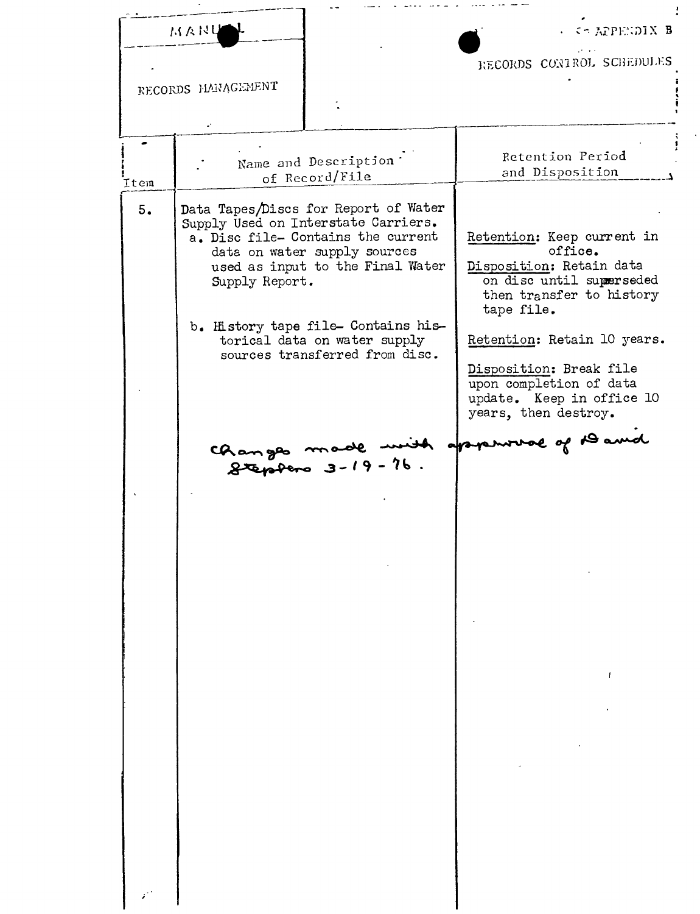|      | MANU               |                                                                                                                                                                                       | . Co APPENDIX B                                                                                         |
|------|--------------------|---------------------------------------------------------------------------------------------------------------------------------------------------------------------------------------|---------------------------------------------------------------------------------------------------------|
|      |                    |                                                                                                                                                                                       | RECORDS CONTROL SCHEDULES                                                                               |
|      | RECORDS HANAGEMENT |                                                                                                                                                                                       |                                                                                                         |
|      |                    |                                                                                                                                                                                       |                                                                                                         |
|      |                    |                                                                                                                                                                                       |                                                                                                         |
|      |                    | Name and Description                                                                                                                                                                  | Retention Period<br>and Disposition                                                                     |
| Item |                    | of Record/File                                                                                                                                                                        |                                                                                                         |
| 5.   |                    | Data Tapes/Discs for Report of Water<br>Supply Used on Interstate Carriers.<br>a. Disc file- Contains the current<br>data on water supply sources<br>used as input to the Final Water | Retention: Keep current in<br>office.<br>Disposition: Retain data                                       |
|      | Supply Report.     |                                                                                                                                                                                       | on disc until superseded<br>then transfer to history<br>tape file.                                      |
|      |                    | b. History tape file- Contains his-<br>torical data on water supply<br>sources transferred from disc.                                                                                 | Retention: Retain 10 years.                                                                             |
|      |                    |                                                                                                                                                                                       | Disposition: Break file<br>upon completion of data<br>update. Keep in office 10<br>years, then destroy. |
|      |                    |                                                                                                                                                                                       | Changes made mit appense of David                                                                       |
|      |                    |                                                                                                                                                                                       |                                                                                                         |
|      |                    |                                                                                                                                                                                       |                                                                                                         |
|      |                    |                                                                                                                                                                                       |                                                                                                         |
|      |                    |                                                                                                                                                                                       |                                                                                                         |
|      |                    |                                                                                                                                                                                       |                                                                                                         |
|      |                    |                                                                                                                                                                                       |                                                                                                         |
|      |                    |                                                                                                                                                                                       |                                                                                                         |
|      |                    |                                                                                                                                                                                       |                                                                                                         |
|      |                    |                                                                                                                                                                                       |                                                                                                         |

 $\ddot{\phantom{0}}$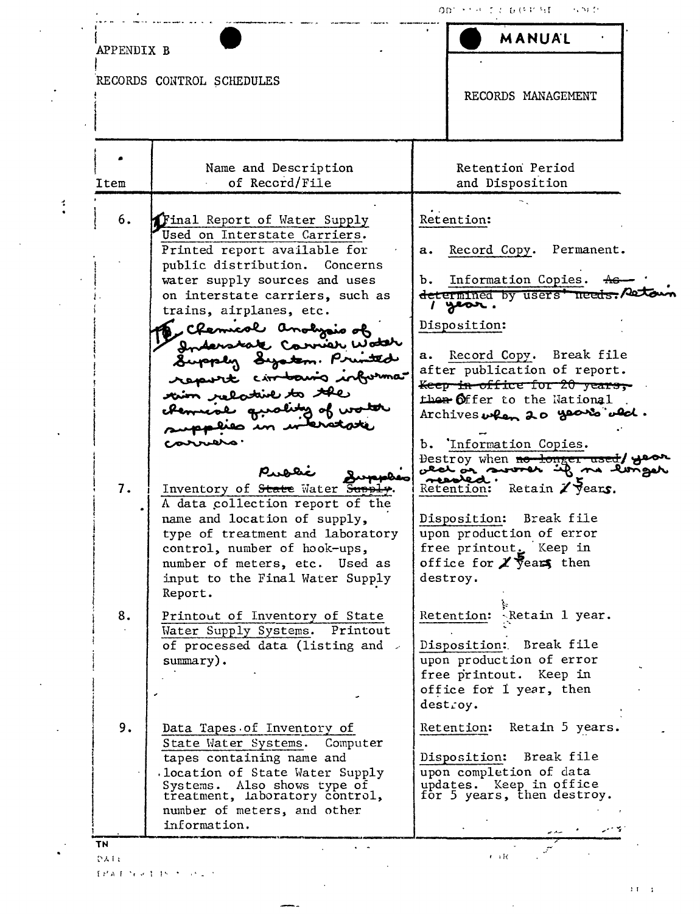| APPENDIX B |                                                                                                                                                              | MANUAL                                                                                                      |
|------------|--------------------------------------------------------------------------------------------------------------------------------------------------------------|-------------------------------------------------------------------------------------------------------------|
|            | RECORDS CONTROL SCHEDULES                                                                                                                                    | RECORDS MANAGEMENT                                                                                          |
| Item       | Name and Description<br>of Record/File                                                                                                                       | Retention Period<br>and Disposition                                                                         |
| 6.         | Final Report of Water Supply<br>Used on Interstate Carriers.                                                                                                 | Retention:                                                                                                  |
|            | Printed report available for<br>public distribution. Concerns<br>water supply sources and uses                                                               | Record Copy. Permanent.<br>a.<br>b. Information Copies.                                                     |
|            | on interstate carriers, such as<br>trains, airplanes, etc.                                                                                                   | determined by users' needs. And<br>1 year.<br>Disposition:                                                  |
|            | , Chemical anolysis of<br>Inderstate Carrier Woter<br>Supply System. Printed                                                                                 | Record Copy. Break file<br>a.<br>after publication of report.                                               |
|            | report circlosis informa<br>tion relative to the<br>chemical guality of worth                                                                                | <del>Keep in office for 20 years,</del><br>then Offer to the National<br>Archives when 20 years ald.        |
|            | proposices in wateras<br>corruers.                                                                                                                           | b. Information Copies.                                                                                      |
| 7.         | Inventory of State Water Supply<br>A data collection report of the                                                                                           | Bestroy when no longer used/ year<br>meashed.<br>Retain $\chi$ years.<br>ketention:                         |
|            | name and location of supply,<br>type of treatment and laboratory<br>control, number of hook-ups,                                                             | Disposition: Break file<br>upon production of error<br>free printout. Keep in                               |
|            | number of meters, etc. Used as<br>input to the Final Water Supply<br>Report.                                                                                 | office for $\chi$ years then<br>destroy.                                                                    |
| 8.         | Printout of Inventory of State<br>Water Supply Systems. Printout<br>of processed data (listing and >                                                         | Retention: Retain 1 year.<br>Disposition: Break file                                                        |
|            | $\text{summary}$ .                                                                                                                                           | upon production of error<br>free printout. Keep in<br>office for 1 year, then<br>destroy.                   |
| 9.         | Data Tapes of Inventory of<br>State Water Systems.<br>Computer                                                                                               | Retain 5 years.<br>Retention:                                                                               |
|            | tapes containing name and<br>location of State Water Supply.<br>Systems. Also shows type of<br>treatment, laboratory control,<br>number of meters, and other | Disposition: Break file<br>upon completion of data<br>updates. Keep in office<br>for 5 years, then destroy. |
|            | information.                                                                                                                                                 |                                                                                                             |

 $\sim 10^{-11}$ 

 $\mathcal{A}^{\mathcal{A}}$ 

 $PAI<sub>k</sub>$ 

 $\ddot{\phantom{a}}$ 

 $\frac{1}{2}$ 

 $\ddot{\cdot}$ 

 $\bar{\beta}$ 

 $\hat{\mathbf{v}}$ 

 $\bar{\mathcal{A}}$ 

 $\ddot{\phantom{1}}$ 

 $\ddot{\phantom{a}}$  $\bullet$ 

 $\ddot{\phantom{a}}$ 

 $\label{eq:1} \mathbb{E} \left( \mathcal{E} \mathbf{A} \right) \mathbb{E} \left( \mathcal{E} \mathbf{A} \right) \mathbb{E} \left( \mathbf{A} \mathbf{A} \right) \mathbb{E} \left( \mathbf{A} \mathbf{A} \right) \mathbb{E} \left( \mathbf{A} \mathbf{A} \right) \mathbb{E} \left( \mathbf{A} \right) \mathbb{E} \left( \mathbf{A} \right) \mathbb{E} \left( \mathbf{A} \right) \mathbb{E} \left( \mathbf{A} \right) \mathbb{E} \left( \mathbf{A} \right) \mathbb$ 

 $\mathbf{1},\mathbf{1},\ldots,\mathbf{1}$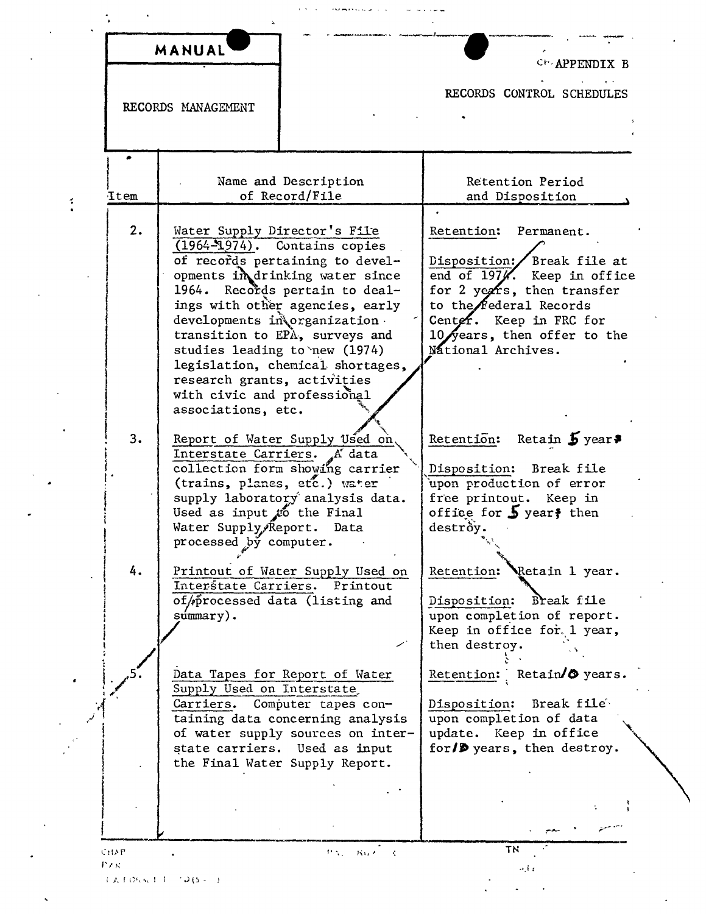|      | MANUAL                                                                                                                                                                                                                                                                                                                                                                                                                | CH APPENDIX B                                                                                                                                                                                                                         |
|------|-----------------------------------------------------------------------------------------------------------------------------------------------------------------------------------------------------------------------------------------------------------------------------------------------------------------------------------------------------------------------------------------------------------------------|---------------------------------------------------------------------------------------------------------------------------------------------------------------------------------------------------------------------------------------|
|      | RECORDS MANAGEMENT                                                                                                                                                                                                                                                                                                                                                                                                    | RECORDS CONTROL SCHEDULES                                                                                                                                                                                                             |
|      |                                                                                                                                                                                                                                                                                                                                                                                                                       |                                                                                                                                                                                                                                       |
| Item | Name and Description<br>of Record/File                                                                                                                                                                                                                                                                                                                                                                                | Retention Period<br>and Disposition                                                                                                                                                                                                   |
| 2.   | Water Supply Director's File<br>$(1964 - 1974)$ . Contains copies<br>of records pertaining to devel-<br>opments in drinking water since<br>Records pertain to deal-<br>1964.<br>ings with other agencies, early<br>developments in organization.<br>transition to EPA, surveys and<br>studies leading to new (1974)<br>legislation, chemical shortages,<br>research grants, activities<br>with civic and professional | Retention: Permanent.<br>Break file at<br>Disposition:/<br>end of 197%. Keep in office<br>for 2 years, then transfer<br>to the <b>federal</b> Records<br>Center. Keep in FRC for<br>10 years, then offer to the<br>National Archives. |
| 3.   | associations, etc.<br>Report of Water Supply Used on,<br>Interstate Carriers.<br>A data<br>collection form showing carrier<br>(trains, planes, etc.) water<br>supply laboratory analysis data.<br>Used as input to the Final<br>Water Supply Report. Data<br>processed by computer.                                                                                                                                   | Retention: Retain $\frac{1}{2}$ year?<br>Disposition:<br>Break file<br>upon production of error<br>free printout. Keep in<br>office for $\frac{1}{2}$ year, then<br>destròy.                                                          |
| 4.   | Printout of Water Supply Used on<br>Interstate Carriers. Printout<br>of/processed data (listing and<br>súmmary).                                                                                                                                                                                                                                                                                                      | Retain 1 year.<br>Retention:<br>Disposition:<br>Break file<br>upon completion of report.<br>Keep in office for lyear,<br>then destroy.                                                                                                |
|      | Data Tapes for Report of Water<br>Supply Used on Interstate<br>Carriers. Computer tapes con-<br>taining data concerning analysis<br>of water supply sources on inter-<br>state carriers. Used as input<br>the Final Water Supply Report.                                                                                                                                                                              | Retention: Retain/ $\bullet$ years.<br>Break file<br>Disposition:<br>upon completion of data<br>update. Keep in office<br>for/D years, then destroy.                                                                                  |
|      |                                                                                                                                                                                                                                                                                                                                                                                                                       |                                                                                                                                                                                                                                       |

 $T = T + 65$  set  $T = T - T + 15$  s  $T = T$ 

 $\ddot{\ddot{\cdot}}$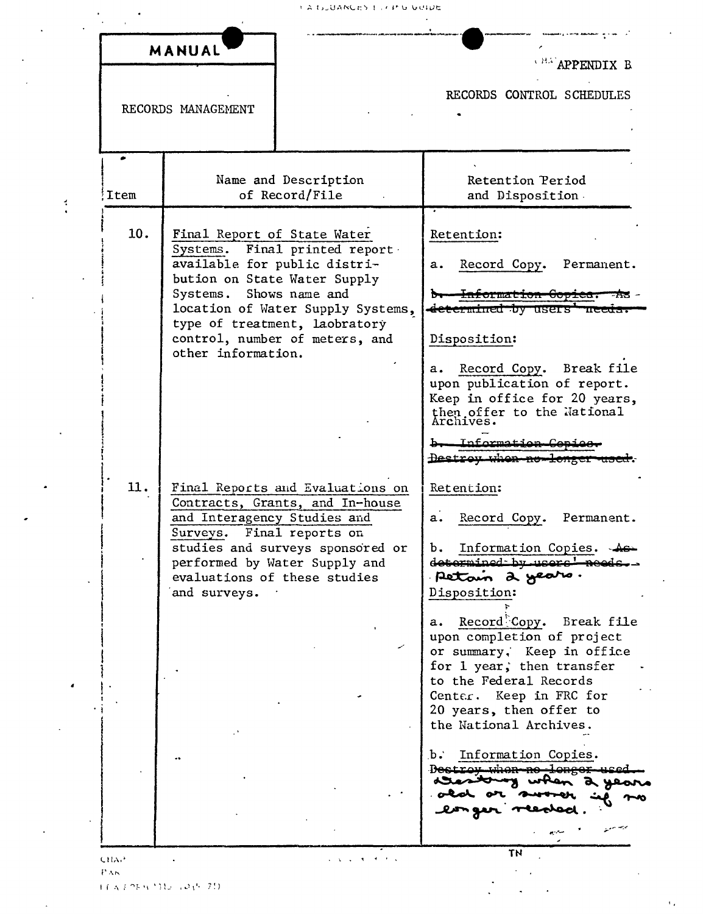|      | MANUAL                                                                                                                                                                                                                                               | APPENDIX B                                                                                                                                                                                                                             |
|------|------------------------------------------------------------------------------------------------------------------------------------------------------------------------------------------------------------------------------------------------------|----------------------------------------------------------------------------------------------------------------------------------------------------------------------------------------------------------------------------------------|
|      | RECORDS MANAGEMENT                                                                                                                                                                                                                                   | RECORDS CONTROL SCHEDULES                                                                                                                                                                                                              |
| Item | Name and Description<br>of Record/File                                                                                                                                                                                                               | Retention Period<br>and Disposition.                                                                                                                                                                                                   |
| 10.  | Final Report of State Water<br>Systems. Final printed report<br>available for public distri-<br>bution on State Water Supply<br>Systems. Shows name and                                                                                              | Retention:<br>Record Copy. Permanent.<br>$\mathbf{a}$ .<br>b. Information Copies.                                                                                                                                                      |
|      | location of Water Supply Systems,<br>type of treatment, laobratory<br>control, number of meters, and<br>other information.                                                                                                                           | <del>determined by users' needs</del><br>Disposition:<br>a. Record Copy. Break file<br>upon publication of report.<br>Keep in office for 20 years,<br>then offer to the National<br>Archives.                                          |
| 11.  | Final Reports and Evaluations on<br>Contracts, Grants, and In-house<br>and Interagency Studies and<br>Surveys. Final reports on<br>studies and surveys sponsored or<br>performed by Water Supply and<br>evaluations of these studies<br>and surveys. | b- Information Copies<br>Destroy when no longer<br>Retention:<br>Record Copy. Permanent.<br>a.<br>Information Copies.<br>determined by users !<br>Petain 2 years.<br>Disposition:                                                      |
|      |                                                                                                                                                                                                                                                      | Record Copy.<br>Break file<br>а.<br>upon completion of project<br>or summary, Keep in office<br>for 1 year, then transfer<br>to the Federal Records<br>Center.<br>Keep in FRC for<br>20 years, then offer to<br>the National Archives. |
|      |                                                                                                                                                                                                                                                      | b.<br>Information Copies.<br>D <del>estron when no lenger</del><br>when a ye                                                                                                                                                           |

ECA / 08 9 1312 ( 2015-20)

 $\frac{3}{4}$ 

 $\ddot{\phantom{a}}$ 

 $\overline{a}$ 

 $\ddot{\phantom{a}}$ 

 $\ddot{\phantom{a}}$